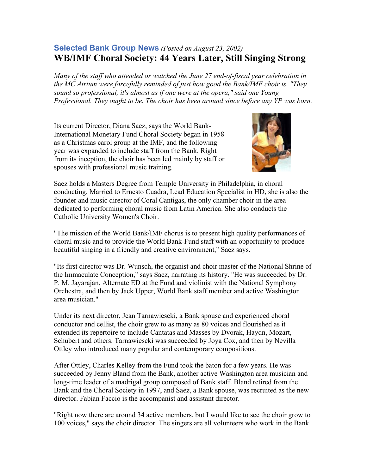## **Selected Bank Group News** *(Posted on August 23, 2002)*  **WB/IMF Choral Society: 44 Years Later, Still Singing Strong**

*Many of the staff who attended or watched the June 27 end-of-fiscal year celebration in the MC Atrium were forcefully reminded of just how good the Bank/IMF choir is. "They sound so professional, it's almost as if one were at the opera," said one Young Professional. They ought to be. The choir has been around since before any YP was born.*

Its current Director, Diana Saez, says the World Bank-International Monetary Fund Choral Society began in 1958 as a Christmas carol group at the IMF, and the following year was expanded to include staff from the Bank. Right from its inception, the choir has been led mainly by staff or spouses with professional music training.



Saez holds a Masters Degree from Temple University in Philadelphia, in choral conducting. Married to Ernesto Cuadra, Lead Education Specialist in HD, she is also the founder and music director of Coral Cantigas, the only chamber choir in the area dedicated to performing choral music from Latin America. She also conducts the Catholic University Women's Choir.

"The mission of the World Bank/IMF chorus is to present high quality performances of choral music and to provide the World Bank-Fund staff with an opportunity to produce beautiful singing in a friendly and creative environment," Saez says.

"Its first director was Dr. Wunsch, the organist and choir master of the National Shrine of the Immaculate Conception," says Saez, narrating its history. "He was succeeded by Dr. P. M. Jayarajan, Alternate ED at the Fund and violinist with the National Symphony Orchestra, and then by Jack Upper, World Bank staff member and active Washington area musician."

Under its next director, Jean Tarnawiescki, a Bank spouse and experienced choral conductor and cellist, the choir grew to as many as 80 voices and flourished as it extended its repertoire to include Cantatas and Masses by Dvorak, Haydn, Mozart, Schubert and others. Tarnawiescki was succeeded by Joya Cox, and then by Nevilla Ottley who introduced many popular and contemporary compositions.

After Ottley, Charles Kelley from the Fund took the baton for a few years. He was succeeded by Jenny Bland from the Bank, another active Washington area musician and long-time leader of a madrigal group composed of Bank staff. Bland retired from the Bank and the Choral Society in 1997, and Saez, a Bank spouse, was recruited as the new director. Fabian Faccio is the accompanist and assistant director.

"Right now there are around 34 active members, but I would like to see the choir grow to 100 voices," says the choir director. The singers are all volunteers who work in the Bank